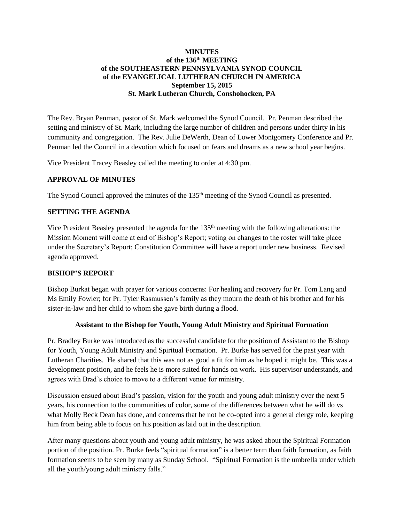## **MINUTES of the 136 th MEETING of the SOUTHEASTERN PENNSYLVANIA SYNOD COUNCIL of the EVANGELICAL LUTHERAN CHURCH IN AMERICA September 15, 2015 St. Mark Lutheran Church, Conshohocken, PA**

The Rev. Bryan Penman, pastor of St. Mark welcomed the Synod Council. Pr. Penman described the setting and ministry of St. Mark, including the large number of children and persons under thirty in his community and congregation. The Rev. Julie DeWerth, Dean of Lower Montgomery Conference and Pr. Penman led the Council in a devotion which focused on fears and dreams as a new school year begins.

Vice President Tracey Beasley called the meeting to order at 4:30 pm.

## **APPROVAL OF MINUTES**

The Synod Council approved the minutes of the 135<sup>th</sup> meeting of the Synod Council as presented.

## **SETTING THE AGENDA**

Vice President Beasley presented the agenda for the 135th meeting with the following alterations: the Mission Moment will come at end of Bishop's Report; voting on changes to the roster will take place under the Secretary's Report; Constitution Committee will have a report under new business. Revised agenda approved.

#### **BISHOP'S REPORT**

Bishop Burkat began with prayer for various concerns: For healing and recovery for Pr. Tom Lang and Ms Emily Fowler; for Pr. Tyler Rasmussen's family as they mourn the death of his brother and for his sister-in-law and her child to whom she gave birth during a flood.

#### **Assistant to the Bishop for Youth, Young Adult Ministry and Spiritual Formation**

Pr. Bradley Burke was introduced as the successful candidate for the position of Assistant to the Bishop for Youth, Young Adult Ministry and Spiritual Formation. Pr. Burke has served for the past year with Lutheran Charities. He shared that this was not as good a fit for him as he hoped it might be. This was a development position, and he feels he is more suited for hands on work. His supervisor understands, and agrees with Brad's choice to move to a different venue for ministry.

Discussion ensued about Brad's passion, vision for the youth and young adult ministry over the next 5 years, his connection to the communities of color, some of the differences between what he will do vs what Molly Beck Dean has done, and concerns that he not be co-opted into a general clergy role, keeping him from being able to focus on his position as laid out in the description.

After many questions about youth and young adult ministry, he was asked about the Spiritual Formation portion of the position. Pr. Burke feels "spiritual formation" is a better term than faith formation, as faith formation seems to be seen by many as Sunday School. "Spiritual Formation is the umbrella under which all the youth/young adult ministry falls."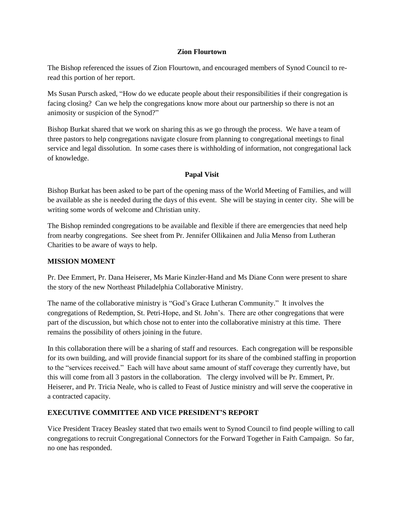#### **Zion Flourtown**

The Bishop referenced the issues of Zion Flourtown, and encouraged members of Synod Council to reread this portion of her report.

Ms Susan Pursch asked, "How do we educate people about their responsibilities if their congregation is facing closing? Can we help the congregations know more about our partnership so there is not an animosity or suspicion of the Synod?"

Bishop Burkat shared that we work on sharing this as we go through the process. We have a team of three pastors to help congregations navigate closure from planning to congregational meetings to final service and legal dissolution. In some cases there is withholding of information, not congregational lack of knowledge.

# **Papal Visit**

Bishop Burkat has been asked to be part of the opening mass of the World Meeting of Families, and will be available as she is needed during the days of this event. She will be staying in center city. She will be writing some words of welcome and Christian unity.

The Bishop reminded congregations to be available and flexible if there are emergencies that need help from nearby congregations. See sheet from Pr. Jennifer Ollikainen and Julia Menso from Lutheran Charities to be aware of ways to help.

## **MISSION MOMENT**

Pr. Dee Emmert, Pr. Dana Heiserer, Ms Marie Kinzler-Hand and Ms Diane Conn were present to share the story of the new Northeast Philadelphia Collaborative Ministry.

The name of the collaborative ministry is "God's Grace Lutheran Community." It involves the congregations of Redemption, St. Petri-Hope, and St. John's. There are other congregations that were part of the discussion, but which chose not to enter into the collaborative ministry at this time. There remains the possibility of others joining in the future.

In this collaboration there will be a sharing of staff and resources. Each congregation will be responsible for its own building, and will provide financial support for its share of the combined staffing in proportion to the "services received." Each will have about same amount of staff coverage they currently have, but this will come from all 3 pastors in the collaboration. The clergy involved will be Pr. Emmert, Pr. Heiserer, and Pr. Tricia Neale, who is called to Feast of Justice ministry and will serve the cooperative in a contracted capacity.

# **EXECUTIVE COMMITTEE AND VICE PRESIDENT'S REPORT**

Vice President Tracey Beasley stated that two emails went to Synod Council to find people willing to call congregations to recruit Congregational Connectors for the Forward Together in Faith Campaign. So far, no one has responded.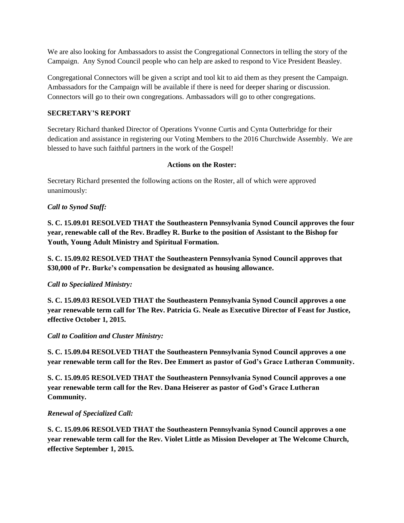We are also looking for Ambassadors to assist the Congregational Connectors in telling the story of the Campaign. Any Synod Council people who can help are asked to respond to Vice President Beasley.

Congregational Connectors will be given a script and tool kit to aid them as they present the Campaign. Ambassadors for the Campaign will be available if there is need for deeper sharing or discussion. Connectors will go to their own congregations. Ambassadors will go to other congregations.

# **SECRETARY'S REPORT**

Secretary Richard thanked Director of Operations Yvonne Curtis and Cynta Outterbridge for their dedication and assistance in registering our Voting Members to the 2016 Churchwide Assembly. We are blessed to have such faithful partners in the work of the Gospel!

## **Actions on the Roster:**

Secretary Richard presented the following actions on the Roster, all of which were approved unanimously:

# *Call to Synod Staff:*

**S. C. 15.09.01 RESOLVED THAT the Southeastern Pennsylvania Synod Council approves the four year, renewable call of the Rev. Bradley R. Burke to the position of Assistant to the Bishop for Youth, Young Adult Ministry and Spiritual Formation.**

**S. C. 15.09.02 RESOLVED THAT the Southeastern Pennsylvania Synod Council approves that \$30,000 of Pr. Burke's compensation be designated as housing allowance.**

# *Call to Specialized Ministry:*

**S. C. 15.09.03 RESOLVED THAT the Southeastern Pennsylvania Synod Council approves a one year renewable term call for The Rev. Patricia G. Neale as Executive Director of Feast for Justice, effective October 1, 2015.**

# *Call to Coalition and Cluster Ministry:*

**S. C. 15.09.04 RESOLVED THAT the Southeastern Pennsylvania Synod Council approves a one year renewable term call for the Rev. Dee Emmert as pastor of God's Grace Lutheran Community.**

**S. C. 15.09.05 RESOLVED THAT the Southeastern Pennsylvania Synod Council approves a one year renewable term call for the Rev. Dana Heiserer as pastor of God's Grace Lutheran Community.**

# *Renewal of Specialized Call:*

**S. C. 15.09.06 RESOLVED THAT the Southeastern Pennsylvania Synod Council approves a one year renewable term call for the Rev. Violet Little as Mission Developer at The Welcome Church, effective September 1, 2015.**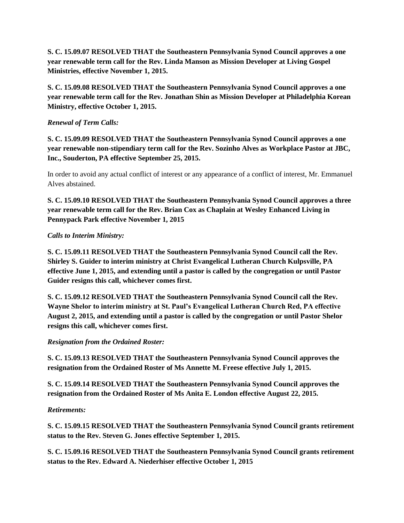**S. C. 15.09.07 RESOLVED THAT the Southeastern Pennsylvania Synod Council approves a one year renewable term call for the Rev. Linda Manson as Mission Developer at Living Gospel Ministries, effective November 1, 2015.**

**S. C. 15.09.08 RESOLVED THAT the Southeastern Pennsylvania Synod Council approves a one year renewable term call for the Rev. Jonathan Shin as Mission Developer at Philadelphia Korean Ministry, effective October 1, 2015.**

# *Renewal of Term Calls:*

**S. C. 15.09.09 RESOLVED THAT the Southeastern Pennsylvania Synod Council approves a one year renewable non-stipendiary term call for the Rev. Sozinho Alves as Workplace Pastor at JBC, Inc., Souderton, PA effective September 25, 2015.**

In order to avoid any actual conflict of interest or any appearance of a conflict of interest, Mr. Emmanuel Alves abstained.

**S. C. 15.09.10 RESOLVED THAT the Southeastern Pennsylvania Synod Council approves a three year renewable term call for the Rev. Brian Cox as Chaplain at Wesley Enhanced Living in Pennypack Park effective November 1, 2015**

# *Calls to Interim Ministry:*

**S. C. 15.09.11 RESOLVED THAT the Southeastern Pennsylvania Synod Council call the Rev. Shirley S. Guider to interim ministry at Christ Evangelical Lutheran Church Kulpsville, PA effective June 1, 2015, and extending until a pastor is called by the congregation or until Pastor Guider resigns this call, whichever comes first.**

**S. C. 15.09.12 RESOLVED THAT the Southeastern Pennsylvania Synod Council call the Rev. Wayne Shelor to interim ministry at St. Paul's Evangelical Lutheran Church Red, PA effective August 2, 2015, and extending until a pastor is called by the congregation or until Pastor Shelor resigns this call, whichever comes first.**

# *Resignation from the Ordained Roster:*

**S. C. 15.09.13 RESOLVED THAT the Southeastern Pennsylvania Synod Council approves the resignation from the Ordained Roster of Ms Annette M. Freese effective July 1, 2015.**

**S. C. 15.09.14 RESOLVED THAT the Southeastern Pennsylvania Synod Council approves the resignation from the Ordained Roster of Ms Anita E. London effective August 22, 2015.**

# *Retirements:*

**S. C. 15.09.15 RESOLVED THAT the Southeastern Pennsylvania Synod Council grants retirement status to the Rev. Steven G. Jones effective September 1, 2015.**

**S. C. 15.09.16 RESOLVED THAT the Southeastern Pennsylvania Synod Council grants retirement status to the Rev. Edward A. Niederhiser effective October 1, 2015**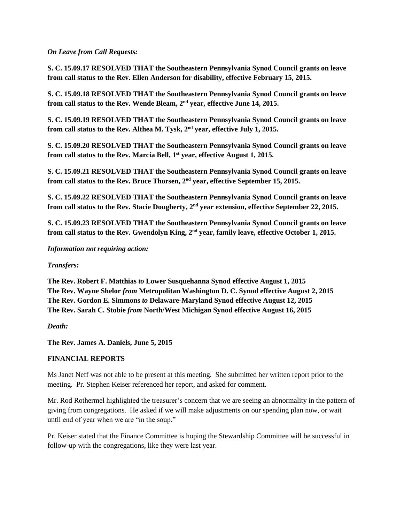### *On Leave from Call Requests:*

**S. C. 15.09.17 RESOLVED THAT the Southeastern Pennsylvania Synod Council grants on leave from call status to the Rev. Ellen Anderson for disability, effective February 15, 2015.**

**S. C. 15.09.18 RESOLVED THAT the Southeastern Pennsylvania Synod Council grants on leave from call status to the Rev. Wende Bleam, 2 nd year, effective June 14, 2015.**

**S. C. 15.09.19 RESOLVED THAT the Southeastern Pennsylvania Synod Council grants on leave from call status to the Rev. Althea M. Tysk, 2 nd year, effective July 1, 2015.**

**S. C. 15.09.20 RESOLVED THAT the Southeastern Pennsylvania Synod Council grants on leave from call status to the Rev. Marcia Bell, 1 st year, effective August 1, 2015.**

**S. C. 15.09.21 RESOLVED THAT the Southeastern Pennsylvania Synod Council grants on leave from call status to the Rev. Bruce Thorsen, 2 nd year, effective September 15, 2015.**

**S. C. 15.09.22 RESOLVED THAT the Southeastern Pennsylvania Synod Council grants on leave from call status to the Rev. Stacie Dougherty, 2 nd year extension, effective September 22, 2015.**

**S. C. 15.09.23 RESOLVED THAT the Southeastern Pennsylvania Synod Council grants on leave from call status to the Rev. Gwendolyn King, 2 nd year, family leave, effective October 1, 2015.**

## *Information not requiring action:*

# *Transfers:*

**The Rev. Robert F. Matthias** *to* **Lower Susquehanna Synod effective August 1, 2015 The Rev. Wayne Shelor** *from* **Metropolitan Washington D. C. Synod effective August 2, 2015 The Rev. Gordon E. Simmons** *to* **Delaware-Maryland Synod effective August 12, 2015 The Rev. Sarah C. Stobie** *from* **North/West Michigan Synod effective August 16, 2015** 

*Death:* 

**The Rev. James A. Daniels, June 5, 2015**

# **FINANCIAL REPORTS**

Ms Janet Neff was not able to be present at this meeting. She submitted her written report prior to the meeting. Pr. Stephen Keiser referenced her report, and asked for comment.

Mr. Rod Rothermel highlighted the treasurer's concern that we are seeing an abnormality in the pattern of giving from congregations. He asked if we will make adjustments on our spending plan now, or wait until end of year when we are "in the soup."

Pr. Keiser stated that the Finance Committee is hoping the Stewardship Committee will be successful in follow-up with the congregations, like they were last year.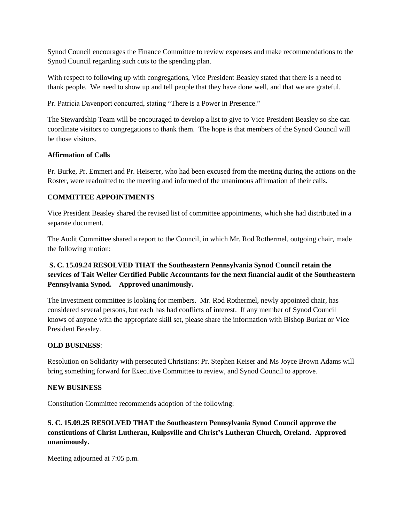Synod Council encourages the Finance Committee to review expenses and make recommendations to the Synod Council regarding such cuts to the spending plan.

With respect to following up with congregations, Vice President Beasley stated that there is a need to thank people. We need to show up and tell people that they have done well, and that we are grateful.

Pr. Patricia Davenport concurred, stating "There is a Power in Presence."

The Stewardship Team will be encouraged to develop a list to give to Vice President Beasley so she can coordinate visitors to congregations to thank them. The hope is that members of the Synod Council will be those visitors.

## **Affirmation of Calls**

Pr. Burke, Pr. Emmert and Pr. Heiserer, who had been excused from the meeting during the actions on the Roster, were readmitted to the meeting and informed of the unanimous affirmation of their calls.

## **COMMITTEE APPOINTMENTS**

Vice President Beasley shared the revised list of committee appointments, which she had distributed in a separate document.

The Audit Committee shared a report to the Council, in which Mr. Rod Rothermel, outgoing chair, made the following motion:

# **S. C. 15.09.24 RESOLVED THAT the Southeastern Pennsylvania Synod Council retain the services of Tait Weller Certified Public Accountants for the next financial audit of the Southeastern Pennsylvania Synod. Approved unanimously.**

The Investment committee is looking for members. Mr. Rod Rothermel, newly appointed chair, has considered several persons, but each has had conflicts of interest. If any member of Synod Council knows of anyone with the appropriate skill set, please share the information with Bishop Burkat or Vice President Beasley.

# **OLD BUSINESS**:

Resolution on Solidarity with persecuted Christians: Pr. Stephen Keiser and Ms Joyce Brown Adams will bring something forward for Executive Committee to review, and Synod Council to approve.

#### **NEW BUSINESS**

Constitution Committee recommends adoption of the following:

# **S. C. 15.09.25 RESOLVED THAT the Southeastern Pennsylvania Synod Council approve the constitutions of Christ Lutheran, Kulpsville and Christ's Lutheran Church, Oreland. Approved unanimously.**

Meeting adjourned at 7:05 p.m.